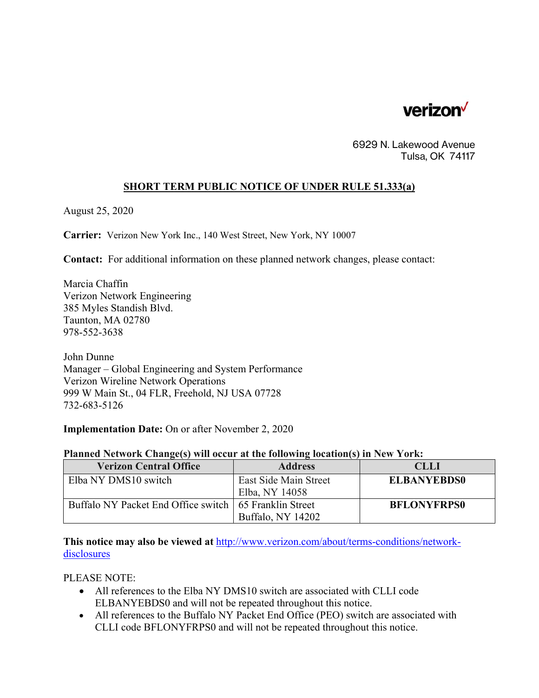

6929 N. Lakewood Avenue Tulsa, OK 74117

## **SHORT TERM PUBLIC NOTICE OF UNDER RULE 51.333(a)**

August 25, 2020

**Carrier:** Verizon New York Inc., 140 West Street, New York, NY 10007

**Contact:** For additional information on these planned network changes, please contact:

Marcia Chaffin Verizon Network Engineering 385 Myles Standish Blvd. Taunton, MA 02780 978-552-3638

John Dunne Manager – Global Engineering and System Performance Verizon Wireline Network Operations 999 W Main St., 04 FLR, Freehold, NJ USA 07728 732-683-5126

**Implementation Date:** On or after November 2, 2020

## **Planned Network Change(s) will occur at the following location(s) in New York:**

| <b>Verizon Central Office</b>                            | <b>Address</b>        | <b>CLLI</b>        |
|----------------------------------------------------------|-----------------------|--------------------|
| Elba NY DMS10 switch                                     | East Side Main Street | <b>ELBANYEBDS0</b> |
|                                                          | Elba, NY 14058        |                    |
| Buffalo NY Packet End Office switch   65 Franklin Street |                       | <b>BFLONYFRPS0</b> |
|                                                          | Buffalo, NY 14202     |                    |

**This notice may also be viewed at** http://www.verizon.com/about/terms-conditions/networkdisclosures

PLEASE NOTE:

- All references to the Elba NY DMS10 switch are associated with CLLI code ELBANYEBDS0 and will not be repeated throughout this notice.
- All references to the Buffalo NY Packet End Office (PEO) switch are associated with CLLI code BFLONYFRPS0 and will not be repeated throughout this notice.